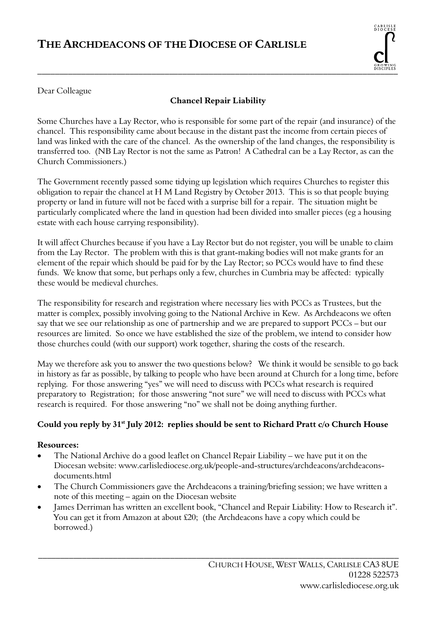## **THE ARCHDEACONS OF THE DIOCESE OF CARLISLE**



Dear Colleague

#### **Chancel Repair Liability**

Some Churches have a Lay Rector, who is responsible for some part of the repair (and insurance) of the chancel. This responsibility came about because in the distant past the income from certain pieces of land was linked with the care of the chancel. As the ownership of the land changes, the responsibility is transferred too. (NB Lay Rector is not the same as Patron! A Cathedral can be a Lay Rector, as can the Church Commissioners.)

The Government recently passed some tidying up legislation which requires Churches to register this obligation to repair the chancel at H M Land Registry by October 2013. This is so that people buying property or land in future will not be faced with a surprise bill for a repair. The situation might be particularly complicated where the land in question had been divided into smaller pieces (eg a housing estate with each house carrying responsibility).

It will affect Churches because if you have a Lay Rector but do not register, you will be unable to claim from the Lay Rector. The problem with this is that grant-making bodies will not make grants for an element of the repair which should be paid for by the Lay Rector; so PCCs would have to find these funds. We know that some, but perhaps only a few, churches in Cumbria may be affected: typically these would be medieval churches.

The responsibility for research and registration where necessary lies with PCCs as Trustees, but the matter is complex, possibly involving going to the National Archive in Kew. As Archdeacons we often say that we see our relationship as one of partnership and we are prepared to support PCCs – but our resources are limited. So once we have established the size of the problem, we intend to consider how those churches could (with our support) work together, sharing the costs of the research.

May we therefore ask you to answer the two questions below? We think it would be sensible to go back in history as far as possible, by talking to people who have been around at Church for a long time, before replying. For those answering "yes" we will need to discuss with PCCs what research is required preparatory to Registration; for those answering "not sure" we will need to discuss with PCCs what research is required. For those answering "no" we shall not be doing anything further.

## **Could you reply by 31st July 2012: replies should be sent to Richard Pratt c/o Church House**

#### **Resources:**

- The National Archive do a good leaflet on Chancel Repair Liability we have put it on the Diocesan website: www.carlislediocese.org.uk/people-and-structures/archdeacons/archdeaconsdocuments.html
- The Church Commissioners gave the Archdeacons a training/briefing session; we have written a note of this meeting – again on the Diocesan website
- James Derriman has written an excellent book, "Chancel and Repair Liability: How to Research it". You can get it from Amazon at about £20; (the Archdeacons have a copy which could be borrowed.)

\_\_\_\_\_\_\_\_\_\_\_\_\_\_\_\_\_\_\_\_\_\_\_\_\_\_\_\_\_\_\_\_\_\_\_\_\_\_\_\_\_\_\_\_\_\_\_\_\_\_\_\_\_\_\_\_\_\_\_\_\_\_\_\_\_\_\_\_\_\_\_\_\_\_\_\_\_\_\_\_\_\_